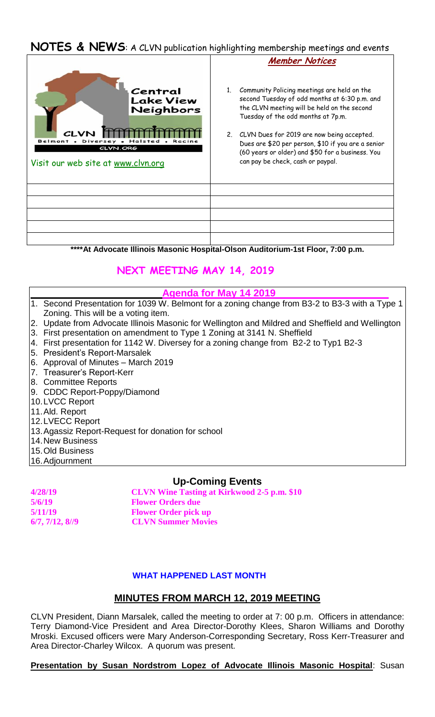# **NOTES & NEWS**: A CLVN publication highlighting membership meetings and events



**\*\*\*\*At Advocate Illinois Masonic Hospital-Olson Auditorium-1st Floor, 7:00 p.m.**

## **NEXT MEETING MAY 14, 2019**

#### **Agenda for May 14 2019**

- 1. Second Presentation for 1039 W. Belmont for a zoning change from B3-2 to B3-3 with a Type 1 Zoning. This will be a voting item.
- 2. Update from Advocate Illinois Masonic for Wellington and Mildred and Sheffield and Wellington
- 3. First presentation on amendment to Type 1 Zoning at 3141 N. Sheffield
- 4. First presentation for 1142 W. Diversey for a zoning change from B2-2 to Typ1 B2-3
- 5. President's Report-Marsalek
- 6. Approval of Minutes March 2019
- 7. Treasurer's Report-Kerr
- 8. Committee Reports
- 9. CDDC Report-Poppy/Diamond
- 10.LVCC Report
- 11.Ald. Report
- 12.LVECC Report
- 13.Agassiz Report-Request for donation for school
- 14.New Business
- 15.Old Business
- 16.Adjournment

### **Up-Coming Events**

**4/28/19 CLVN Wine Tasting at Kirkwood 2-5 p.m. \$10 5/6/19 Flower Orders due 5/11/19 Flower Order pick up 6/7, 7/12, 8//9 CLVN Summer Movies** 

### **WHAT HAPPENED LAST MONTH**

## **MINUTES FROM MARCH 12, 2019 MEETING**

CLVN President, Diann Marsalek, called the meeting to order at 7: 00 p.m. Officers in attendance: Terry Diamond-Vice President and Area Director-Dorothy Klees, Sharon Williams and Dorothy Mroski. Excused officers were Mary Anderson-Corresponding Secretary, Ross Kerr-Treasurer and Area Director-Charley Wilcox. A quorum was present.

**Presentation by Susan Nordstrom Lopez of Advocate Illinois Masonic Hospital**: Susan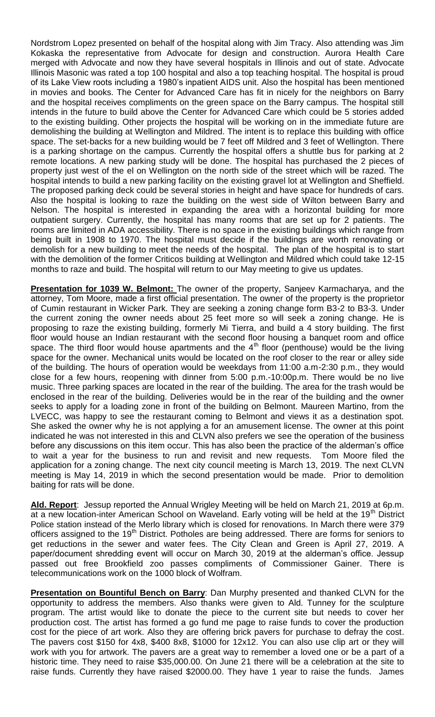Nordstrom Lopez presented on behalf of the hospital along with Jim Tracy. Also attending was Jim Kokaska the representative from Advocate for design and construction. Aurora Health Care merged with Advocate and now they have several hospitals in Illinois and out of state. Advocate Illinois Masonic was rated a top 100 hospital and also a top teaching hospital. The hospital is proud of its Lake View roots including a 1980's inpatient AIDS unit. Also the hospital has been mentioned in movies and books. The Center for Advanced Care has fit in nicely for the neighbors on Barry and the hospital receives compliments on the green space on the Barry campus. The hospital still intends in the future to build above the Center for Advanced Care which could be 5 stories added to the existing building. Other projects the hospital will be working on in the immediate future are demolishing the building at Wellington and Mildred. The intent is to replace this building with office space. The set-backs for a new building would be 7 feet off Mildred and 3 feet of Wellington. There is a parking shortage on the campus. Currently the hospital offers a shuttle bus for parking at 2 remote locations. A new parking study will be done. The hospital has purchased the 2 pieces of property just west of the el on Wellington on the north side of the street which will be razed. The hospital intends to build a new parking facility on the existing gravel lot at Wellington and Sheffield. The proposed parking deck could be several stories in height and have space for hundreds of cars. Also the hospital is looking to raze the building on the west side of Wilton between Barry and Nelson. The hospital is interested in expanding the area with a horizontal building for more outpatient surgery. Currently, the hospital has many rooms that are set up for 2 patients. The rooms are limited in ADA accessibility. There is no space in the existing buildings which range from being built in 1908 to 1970. The hospital must decide if the buildings are worth renovating or demolish for a new building to meet the needs of the hospital. The plan of the hospital is to start with the demolition of the former Criticos building at Wellington and Mildred which could take 12-15 months to raze and build. The hospital will return to our May meeting to give us updates.

**Presentation for 1039 W. Belmont:** The owner of the property, Sanjeev Karmacharya, and the attorney, Tom Moore, made a first official presentation. The owner of the property is the proprietor of Cumin restaurant in Wicker Park. They are seeking a zoning change form B3-2 to B3-3. Under the current zoning the owner needs about 25 feet more so will seek a zoning change. He is proposing to raze the existing building, formerly Mi Tierra, and build a 4 story building. The first floor would house an Indian restaurant with the second floor housing a banquet room and office space. The third floor would house apartments and the  $4<sup>th</sup>$  floor (penthouse) would be the living space for the owner. Mechanical units would be located on the roof closer to the rear or alley side of the building. The hours of operation would be weekdays from 11:00 a.m-2:30 p.m., they would close for a few hours, reopening with dinner from 5:00 p.m.-10:00p.m. There would be no live music. Three parking spaces are located in the rear of the building. The area for the trash would be enclosed in the rear of the building. Deliveries would be in the rear of the building and the owner seeks to apply for a loading zone in front of the building on Belmont. Maureen Martino, from the LVECC, was happy to see the restaurant coming to Belmont and views it as a destination spot. She asked the owner why he is not applying a for an amusement license. The owner at this point indicated he was not interested in this and CLVN also prefers we see the operation of the business before any discussions on this item occur. This has also been the practice of the alderman's office to wait a year for the business to run and revisit and new requests. Tom Moore filed the application for a zoning change. The next city council meeting is March 13, 2019. The next CLVN meeting is May 14, 2019 in which the second presentation would be made. Prior to demolition baiting for rats will be done.

**Ald. Report**: Jessup reported the Annual Wrigley Meeting will be held on March 21, 2019 at 6p.m. at a new location-inter American School on Waveland. Early voting will be held at the 19<sup>th</sup> District Police station instead of the Merlo library which is closed for renovations. In March there were 379 officers assigned to the 19<sup>th</sup> District. Potholes are being addressed. There are forms for seniors to get reductions in the sewer and water fees. The City Clean and Green is April 27, 2019. A paper/document shredding event will occur on March 30, 2019 at the alderman's office. Jessup passed out free Brookfield zoo passes compliments of Commissioner Gainer. There is telecommunications work on the 1000 block of Wolfram.

**Presentation on Bountiful Bench on Barry**: Dan Murphy presented and thanked CLVN for the opportunity to address the members. Also thanks were given to Ald. Tunney for the sculpture program. The artist would like to donate the piece to the current site but needs to cover her production cost. The artist has formed a go fund me page to raise funds to cover the production cost for the piece of art work. Also they are offering brick pavers for purchase to defray the cost. The pavers cost \$150 for 4x8, \$400 8x8, \$1000 for 12x12. You can also use clip art or they will work with you for artwork. The pavers are a great way to remember a loved one or be a part of a historic time. They need to raise \$35,000.00. On June 21 there will be a celebration at the site to raise funds. Currently they have raised \$2000.00. They have 1 year to raise the funds. James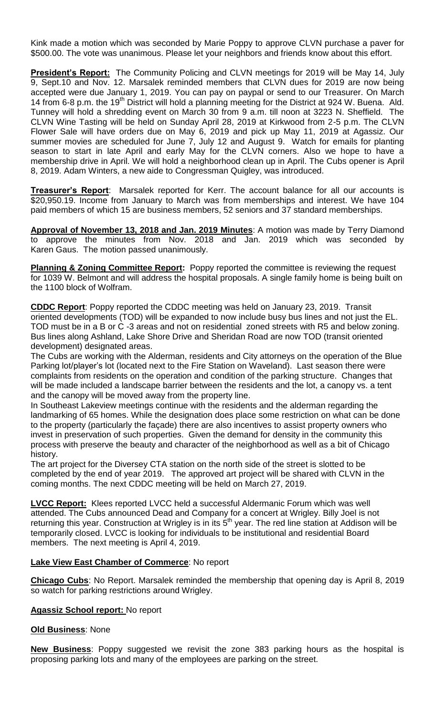Kink made a motion which was seconded by Marie Poppy to approve CLVN purchase a paver for \$500.00. The vote was unanimous. Please let your neighbors and friends know about this effort.

**President's Report:** The Community Policing and CLVN meetings for 2019 will be May 14, July 9, Sept.10 and Nov. 12. Marsalek reminded members that CLVN dues for 2019 are now being accepted were due January 1, 2019. You can pay on paypal or send to our Treasurer. On March 14 from 6-8 p.m. the 19<sup>th</sup> District will hold a planning meeting for the District at 924 W. Buena. Ald. Tunney will hold a shredding event on March 30 from 9 a.m. till noon at 3223 N. Sheffield. The CLVN Wine Tasting will be held on Sunday April 28, 2019 at Kirkwood from 2-5 p.m. The CLVN Flower Sale will have orders due on May 6, 2019 and pick up May 11, 2019 at Agassiz. Our summer movies are scheduled for June 7, July 12 and August 9. Watch for emails for planting season to start in late April and early May for the CLVN corners. Also we hope to have a membership drive in April. We will hold a neighborhood clean up in April. The Cubs opener is April 8, 2019. Adam Winters, a new aide to Congressman Quigley, was introduced.

**Treasurer's Report**: Marsalek reported for Kerr. The account balance for all our accounts is \$20,950.19. Income from January to March was from memberships and interest. We have 104 paid members of which 15 are business members, 52 seniors and 37 standard memberships.

**Approval of November 13, 2018 and Jan. 2019 Minutes**: A motion was made by Terry Diamond to approve the minutes from Nov. 2018 and Jan. 2019 which was seconded by Karen Gaus. The motion passed unanimously.

**Planning & Zoning Committee Report:** Poppy reported the committee is reviewing the request for 1039 W. Belmont and will address the hospital proposals. A single family home is being built on the 1100 block of Wolfram.

**CDDC Report**: Poppy reported the CDDC meeting was held on January 23, 2019. Transit oriented developments (TOD) will be expanded to now include busy bus lines and not just the EL. TOD must be in a B or C -3 areas and not on residential zoned streets with R5 and below zoning. Bus lines along Ashland, Lake Shore Drive and Sheridan Road are now TOD (transit oriented development) designated areas.

The Cubs are working with the Alderman, residents and City attorneys on the operation of the Blue Parking lot/player's lot (located next to the Fire Station on Waveland). Last season there were complaints from residents on the operation and condition of the parking structure. Changes that will be made included a landscape barrier between the residents and the lot, a canopy vs. a tent and the canopy will be moved away from the property line.

In Southeast Lakeview meetings continue with the residents and the alderman regarding the landmarking of 65 homes. While the designation does place some restriction on what can be done to the property (particularly the façade) there are also incentives to assist property owners who invest in preservation of such properties. Given the demand for density in the community this process with preserve the beauty and character of the neighborhood as well as a bit of Chicago history.

The art project for the Diversey CTA station on the north side of the street is slotted to be completed by the end of year 2019. The approved art project will be shared with CLVN in the coming months. The next CDDC meeting will be held on March 27, 2019.

**LVCC Report:** Klees reported LVCC held a successful Aldermanic Forum which was well attended. The Cubs announced Dead and Company for a concert at Wrigley. Billy Joel is not returning this year. Construction at Wrigley is in its  $5<sup>th</sup>$  year. The red line station at Addison will be temporarily closed. LVCC is looking for individuals to be institutional and residential Board members. The next meeting is April 4, 2019.

### **Lake View East Chamber of Commerce**: No report

**Chicago Cubs**: No Report. Marsalek reminded the membership that opening day is April 8, 2019 so watch for parking restrictions around Wrigley.

#### **Agassiz School report:** No report

### **Old Business**: None

**New Business**: Poppy suggested we revisit the zone 383 parking hours as the hospital is proposing parking lots and many of the employees are parking on the street.